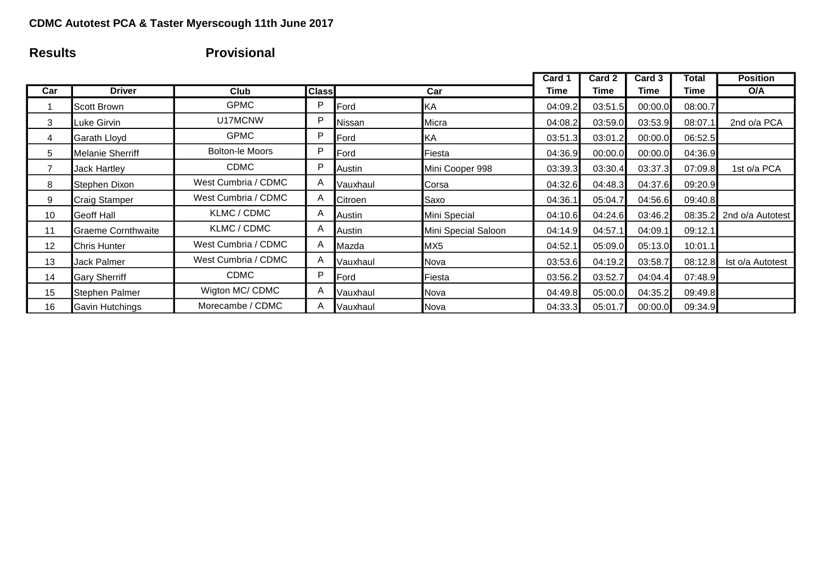### **CDMC Autotest PCA & Taster Myerscough 11th June 2017**

# **Results Provisional**

|     |                           |                        |                |              |                     | Card 1  | Card 2  | Card 3  | Total   | <b>Position</b>  |
|-----|---------------------------|------------------------|----------------|--------------|---------------------|---------|---------|---------|---------|------------------|
| Car | <b>Driver</b>             | <b>Club</b>            | <b>Class</b>   |              | Car                 | Time    | Time    | Time    | Time    | O/A              |
|     | <b>Scott Brown</b>        | <b>GPMC</b>            | P              | <b>Ford</b>  | <b>I</b> KA         | 04:09.2 | 03:51.5 | 00:00.0 | 08:00.7 |                  |
| 3   | Luke Girvin               | U17MCNW                | P              | Nissan       | Micra               | 04:08.2 | 03:59.0 | 03:53.9 | 08:07.1 | 2nd o/a PCA      |
| 4   | Garath Lloyd              | <b>GPMC</b>            | P              | <b>IFord</b> | <b>I</b> KA         | 03:51.3 | 03:01.2 | 00:00.0 | 06:52.5 |                  |
| 5   | Melanie Sherriff          | <b>Bolton-le Moors</b> | P              | <b>IFord</b> | Fiesta              | 04:36.9 | 00:00.0 | 00:00.0 | 04:36.9 |                  |
| 7   | Jack Hartley              | <b>CDMC</b>            | P              | Austin       | Mini Cooper 998     | 03:39.3 | 03:30.4 | 03:37.3 | 07:09.8 | 1st o/a PCA      |
| 8   | Stephen Dixon             | West Cumbria / CDMC    | A              | Vauxhaul     | Corsa               | 04:32.6 | 04:48.3 | 04:37.6 | 09:20.9 |                  |
| 9   | Craig Stamper             | West Cumbria / CDMC    | $\overline{A}$ | Citroen      | Saxo                | 04:36.1 | 05:04.7 | 04:56.6 | 09:40.8 |                  |
| 10  | <b>Geoff Hall</b>         | KLMC / CDMC            | A              | Austin       | Mini Special        | 04:10.6 | 04:24.6 | 03:46.2 | 08:35.2 | 2nd o/a Autotest |
| 11  | <b>Graeme Cornthwaite</b> | KLMC / CDMC            | A              | Austin       | Mini Special Saloon | 04:14.9 | 04:57.1 | 04:09.1 | 09:12.1 |                  |
| 12  | Chris Hunter              | West Cumbria / CDMC    | A              | Mazda        | MX <sub>5</sub>     | 04:52.1 | 05:09.0 | 05:13.0 | 10:01.1 |                  |
| 13  | <b>Jack Palmer</b>        | West Cumbria / CDMC    | A              | Vauxhaul     | Nova                | 03:53.6 | 04:19.2 | 03:58.7 | 08:12.8 | Ist o/a Autotest |
| 14  | <b>Gary Sherriff</b>      | <b>CDMC</b>            | P              | <b>IFord</b> | Fiesta              | 03:56.2 | 03:52.7 | 04:04.4 | 07:48.9 |                  |
| 15  | <b>Stephen Palmer</b>     | Wigton MC/ CDMC        | A              | Vauxhaul     | <b>Nova</b>         | 04:49.8 | 05:00.0 | 04:35.2 | 09:49.8 |                  |
| 16  | Gavin Hutchings           | Morecambe / CDMC       | A              | Vauxhaul     | Nova                | 04:33.3 | 05:01.7 | 00:00.0 | 09:34.9 |                  |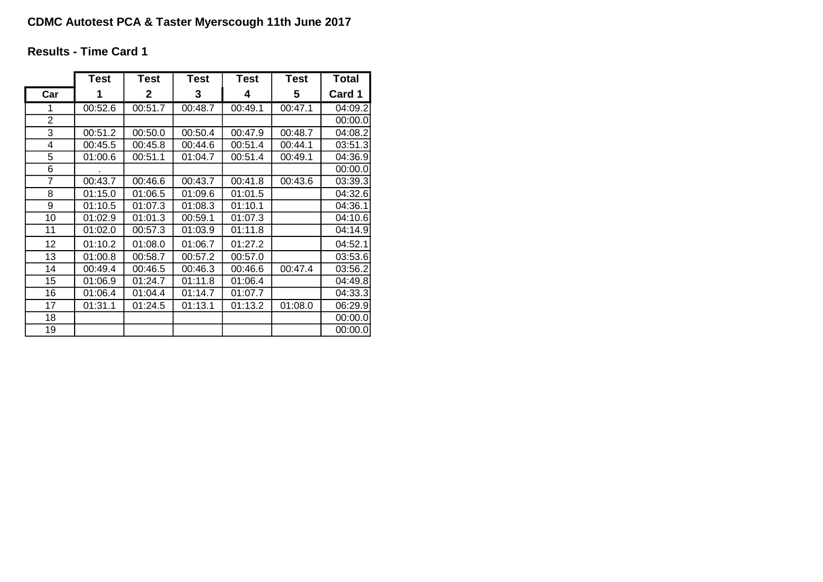**Results - Time Card 1**

|                | <b>Test</b> | <b>Test</b> | <b>Test</b> | <b>Test</b> | <b>Test</b> | <b>Total</b> |
|----------------|-------------|-------------|-------------|-------------|-------------|--------------|
| Car            | 1           | $\mathbf 2$ | 3           | 4           | 5           | Card 1       |
| 1              | 00:52.6     | 00:51.7     | 00:48.7     | 00:49.1     | 00:47.1     | 04:09.2      |
| $\overline{2}$ |             |             |             |             |             | 00:00.0      |
| 3              | 00:51.2     | 00:50.0     | 00:50.4     | 00:47.9     | 00:48.7     | 04:08.2      |
| 4              | 00:45.5     | 00:45.8     | 00:44.6     | 00:51.4     | 00:44.1     | 03:51.3      |
| 5              | 01:00.6     | 00:51.1     | 01:04.7     | 00:51.4     | 00:49.1     | 04:36.9      |
| 6              |             |             |             |             |             | 00:00.0      |
| $\overline{7}$ | 00:43.7     | 00:46.6     | 00:43.7     | 00:41.8     | 00:43.6     | 03:39.3      |
| 8              | 01:15.0     | 01:06.5     | 01:09.6     | 01:01.5     |             | 04:32.6      |
| 9              | 01:10.5     | 01:07.3     | 01:08.3     | 01:10.1     |             | 04:36.1      |
| 10             | 01:02.9     | 01:01.3     | 00:59.1     | 01:07.3     |             | 04:10.6      |
| 11             | 01:02.0     | 00:57.3     | 01:03.9     | 01:11.8     |             | 04:14.9      |
| 12             | 01:10.2     | 01:08.0     | 01:06.7     | 01:27.2     |             | 04:52.1      |
| 13             | 01:00.8     | 00:58.7     | 00:57.2     | 00:57.0     |             | 03:53.6      |
| 14             | 00:49.4     | 00:46.5     | 00:46.3     | 00:46.6     | 00:47.4     | 03:56.2      |
| 15             | 01:06.9     | 01:24.7     | 01:11.8     | 01:06.4     |             | 04:49.8      |
| 16             | 01:06.4     | 01:04.4     | 01:14.7     | 01:07.7     |             | 04:33.3      |
| 17             | 01:31.1     | 01:24.5     | 01:13.1     | 01:13.2     | 01:08.0     | 06:29.9      |
| 18             |             |             |             |             |             | 00:00.0      |
| 19             |             |             |             |             |             | 00:00.0      |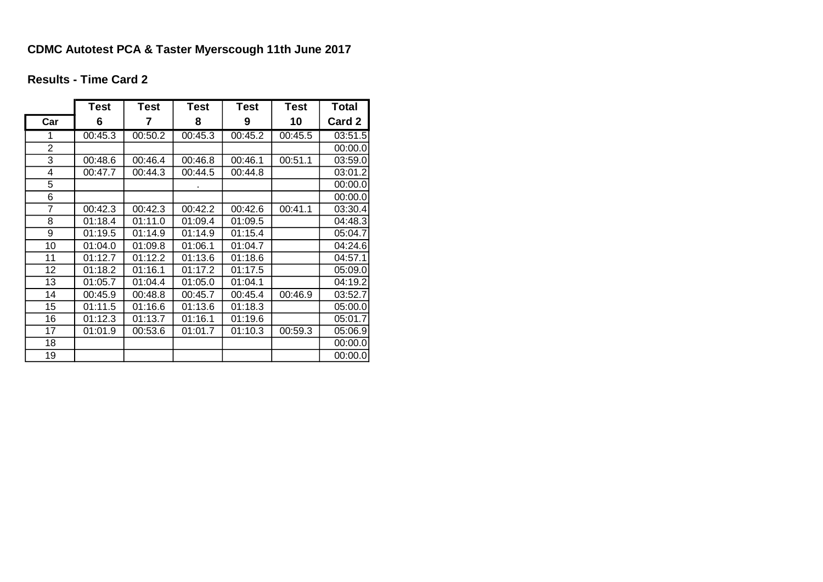# **CDMC Autotest PCA & Taster Myerscough 11th June 2017**

## **Results - Time Card 2**

|                | <b>Test</b> | <b>Test</b> | <b>Test</b> | <b>Test</b> | <b>Test</b> | <b>Total</b> |
|----------------|-------------|-------------|-------------|-------------|-------------|--------------|
| Car            | 6           | 7           | 8           | 9           | 10          | Card 2       |
| 1              | 00:45.3     | 00:50.2     | 00:45.3     | 00:45.2     | 00:45.5     | 03:51.5      |
| $\overline{2}$ |             |             |             |             |             | 00:00.0      |
| 3              | 00:48.6     | 00:46.4     | 00:46.8     | 00:46.1     | 00:51.1     | 03:59.0      |
| 4              | 00:47.7     | 00:44.3     | 00:44.5     | 00:44.8     |             | 03:01.2      |
| 5              |             |             |             |             |             | 00:00.0      |
| 6              |             |             |             |             |             | 00:00.0      |
| 7              | 00:42.3     | 00:42.3     | 00:42.2     | 00:42.6     | 00:41.1     | 03:30.4      |
| 8              | 01:18.4     | 01:11.0     | 01:09.4     | 01:09.5     |             | 04:48.3      |
| 9              | 01:19.5     | 01:14.9     | 01:14.9     | 01:15.4     |             | 05:04.7      |
| 10             | 01:04.0     | 01:09.8     | 01:06.1     | 01:04.7     |             | 04:24.6      |
| 11             | 01:12.7     | 01:12.2     | 01:13.6     | 01:18.6     |             | 04:57.1      |
| 12             | 01:18.2     | 01:16.1     | 01:17.2     | 01:17.5     |             | 05:09.0      |
| 13             | 01:05.7     | 01:04.4     | 01:05.0     | 01:04.1     |             | 04:19.2      |
| 14             | 00:45.9     | 00:48.8     | 00:45.7     | 00:45.4     | 00:46.9     | 03:52.7      |
| 15             | 01:11.5     | 01:16.6     | 01:13.6     | 01:18.3     |             | 05:00.0      |
| 16             | 01:12.3     | 01:13.7     | 01:16.1     | 01:19.6     |             | 05:01.7      |
| 17             | 01:01.9     | 00:53.6     | 01:01.7     | 01:10.3     | 00:59.3     | 05:06.9      |
| 18             |             |             |             |             |             | 00:00.0      |
| 19             |             |             |             |             |             | 00:00.0      |